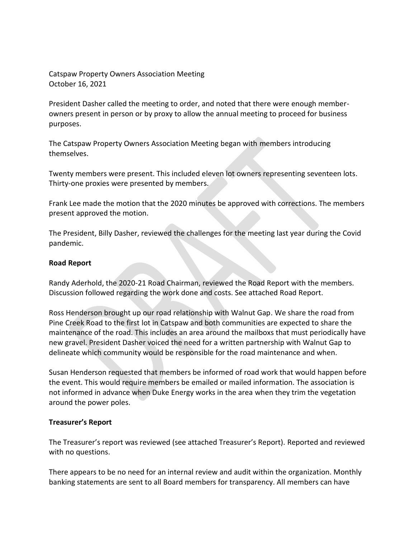Catspaw Property Owners Association Meeting October 16, 2021

President Dasher called the meeting to order, and noted that there were enough memberowners present in person or by proxy to allow the annual meeting to proceed for business purposes.

The Catspaw Property Owners Association Meeting began with members introducing themselves.

Twenty members were present. This included eleven lot owners representing seventeen lots. Thirty-one proxies were presented by members.

Frank Lee made the motion that the 2020 minutes be approved with corrections. The members present approved the motion.

The President, Billy Dasher, reviewed the challenges for the meeting last year during the Covid pandemic.

# **Road Report**

Randy Aderhold, the 2020-21 Road Chairman, reviewed the Road Report with the members. Discussion followed regarding the work done and costs. See attached Road Report.

Ross Henderson brought up our road relationship with Walnut Gap. We share the road from Pine Creek Road to the first lot in Catspaw and both communities are expected to share the maintenance of the road. This includes an area around the mailboxs that must periodically have new gravel. President Dasher voiced the need for a written partnership with Walnut Gap to delineate which community would be responsible for the road maintenance and when.

Susan Henderson requested that members be informed of road work that would happen before the event. This would require members be emailed or mailed information. The association is not informed in advance when Duke Energy works in the area when they trim the vegetation around the power poles.

### **Treasurer's Report**

The Treasurer's report was reviewed (see attached Treasurer's Report). Reported and reviewed with no questions.

There appears to be no need for an internal review and audit within the organization. Monthly banking statements are sent to all Board members for transparency. All members can have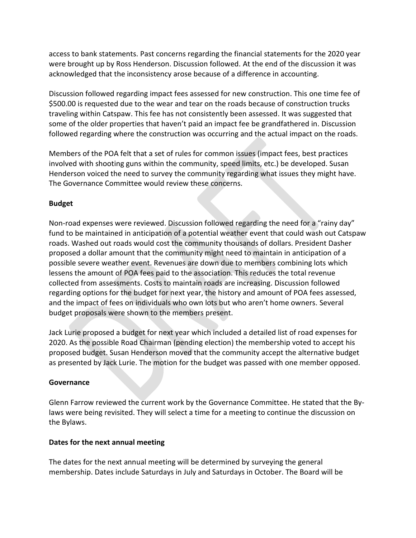access to bank statements. Past concerns regarding the financial statements for the 2020 year were brought up by Ross Henderson. Discussion followed. At the end of the discussion it was acknowledged that the inconsistency arose because of a difference in accounting.

Discussion followed regarding impact fees assessed for new construction. This one time fee of \$500.00 is requested due to the wear and tear on the roads because of construction trucks traveling within Catspaw. This fee has not consistently been assessed. It was suggested that some of the older properties that haven't paid an impact fee be grandfathered in. Discussion followed regarding where the construction was occurring and the actual impact on the roads.

Members of the POA felt that a set of rules for common issues (impact fees, best practices involved with shooting guns within the community, speed limits, etc.) be developed. Susan Henderson voiced the need to survey the community regarding what issues they might have. The Governance Committee would review these concerns.

# **Budget**

Non-road expenses were reviewed. Discussion followed regarding the need for a "rainy day" fund to be maintained in anticipation of a potential weather event that could wash out Catspaw roads. Washed out roads would cost the community thousands of dollars. President Dasher proposed a dollar amount that the community might need to maintain in anticipation of a possible severe weather event. Revenues are down due to members combining lots which lessens the amount of POA fees paid to the association. This reduces the total revenue collected from assessments. Costs to maintain roads are increasing. Discussion followed regarding options for the budget for next year, the history and amount of POA fees assessed, and the impact of fees on individuals who own lots but who aren't home owners. Several budget proposals were shown to the members present.

Jack Lurie proposed a budget for next year which included a detailed list of road expenses for 2020. As the possible Road Chairman (pending election) the membership voted to accept his proposed budget. Susan Henderson moved that the community accept the alternative budget as presented by Jack Lurie. The motion for the budget was passed with one member opposed.

# **Governance**

Glenn Farrow reviewed the current work by the Governance Committee. He stated that the Bylaws were being revisited. They will select a time for a meeting to continue the discussion on the Bylaws.

# **Dates for the next annual meeting**

The dates for the next annual meeting will be determined by surveying the general membership. Dates include Saturdays in July and Saturdays in October. The Board will be